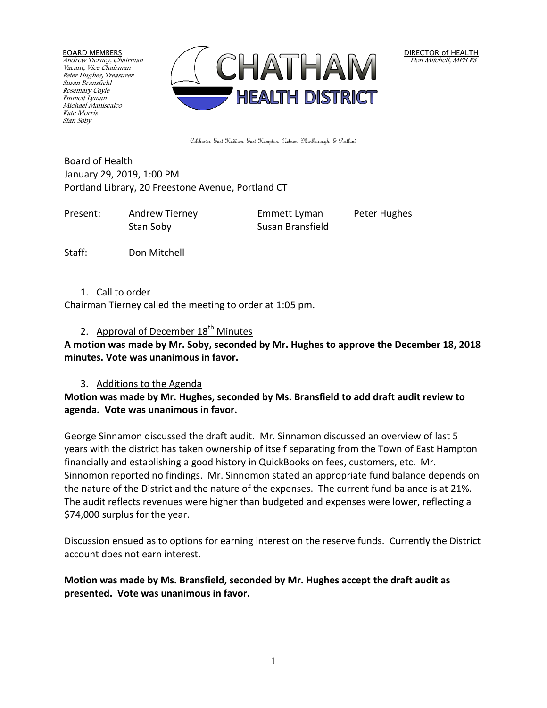BOARD MEMBERS Andrew Tierney, Chairman Vacant, Vice Chairman Peter Hughes, Treasurer Susan Bransfield Rosemary Coyle Emmett Lyman Michael Maniscalco Kate Morris Stan Soby



DIRECTOR of HEALTH Don Mitchell, MPH RS

Colchester, East Haddam, East Hampton, Hebron, Marlborough, & Portland

Board of Health January 29, 2019, 1:00 PM Portland Library, 20 Freestone Avenue, Portland CT

Present: Andrew Tierney Emmett Lyman Peter Hughes Stan Soby Susan Bransfield

Staff: Don Mitchell

#### 1. Call to order

Chairman Tierney called the meeting to order at 1:05 pm.

# 2. Approval of December  $18<sup>th</sup>$  Minutes

**A motion was made by Mr. Soby, seconded by Mr. Hughes to approve the December 18, 2018 minutes. Vote was unanimous in favor.**

#### 3. Additions to the Agenda

## **Motion was made by Mr. Hughes, seconded by Ms. Bransfield to add draft audit review to agenda. Vote was unanimous in favor.**

George Sinnamon discussed the draft audit. Mr. Sinnamon discussed an overview of last 5 years with the district has taken ownership of itself separating from the Town of East Hampton financially and establishing a good history in QuickBooks on fees, customers, etc. Mr. Sinnomon reported no findings. Mr. Sinnomon stated an appropriate fund balance depends on the nature of the District and the nature of the expenses. The current fund balance is at 21%. The audit reflects revenues were higher than budgeted and expenses were lower, reflecting a \$74,000 surplus for the year.

Discussion ensued as to options for earning interest on the reserve funds. Currently the District account does not earn interest.

## **Motion was made by Ms. Bransfield, seconded by Mr. Hughes accept the draft audit as presented. Vote was unanimous in favor.**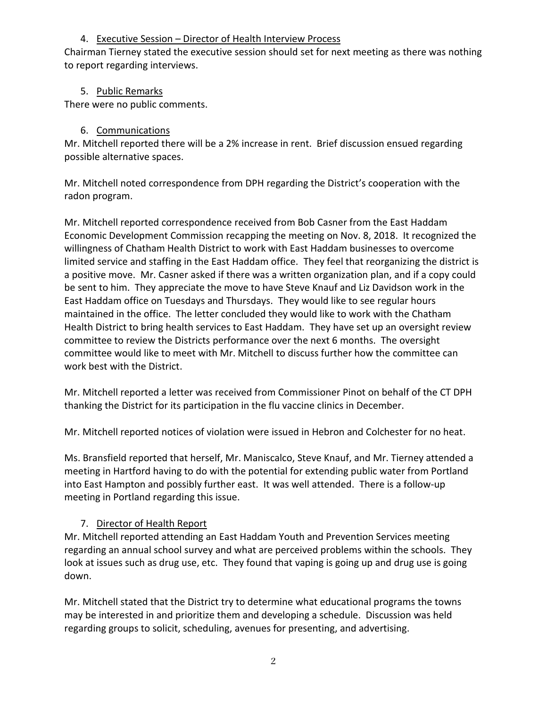## 4. Executive Session – Director of Health Interview Process

Chairman Tierney stated the executive session should set for next meeting as there was nothing to report regarding interviews.

## 5. Public Remarks

There were no public comments.

## 6. Communications

Mr. Mitchell reported there will be a 2% increase in rent. Brief discussion ensued regarding possible alternative spaces.

Mr. Mitchell noted correspondence from DPH regarding the District's cooperation with the radon program.

Mr. Mitchell reported correspondence received from Bob Casner from the East Haddam Economic Development Commission recapping the meeting on Nov. 8, 2018. It recognized the willingness of Chatham Health District to work with East Haddam businesses to overcome limited service and staffing in the East Haddam office. They feel that reorganizing the district is a positive move. Mr. Casner asked if there was a written organization plan, and if a copy could be sent to him. They appreciate the move to have Steve Knauf and Liz Davidson work in the East Haddam office on Tuesdays and Thursdays. They would like to see regular hours maintained in the office. The letter concluded they would like to work with the Chatham Health District to bring health services to East Haddam. They have set up an oversight review committee to review the Districts performance over the next 6 months. The oversight committee would like to meet with Mr. Mitchell to discuss further how the committee can work best with the District.

Mr. Mitchell reported a letter was received from Commissioner Pinot on behalf of the CT DPH thanking the District for its participation in the flu vaccine clinics in December.

Mr. Mitchell reported notices of violation were issued in Hebron and Colchester for no heat.

Ms. Bransfield reported that herself, Mr. Maniscalco, Steve Knauf, and Mr. Tierney attended a meeting in Hartford having to do with the potential for extending public water from Portland into East Hampton and possibly further east. It was well attended. There is a follow-up meeting in Portland regarding this issue.

# 7. Director of Health Report

Mr. Mitchell reported attending an East Haddam Youth and Prevention Services meeting regarding an annual school survey and what are perceived problems within the schools. They look at issues such as drug use, etc. They found that vaping is going up and drug use is going down.

Mr. Mitchell stated that the District try to determine what educational programs the towns may be interested in and prioritize them and developing a schedule. Discussion was held regarding groups to solicit, scheduling, avenues for presenting, and advertising.